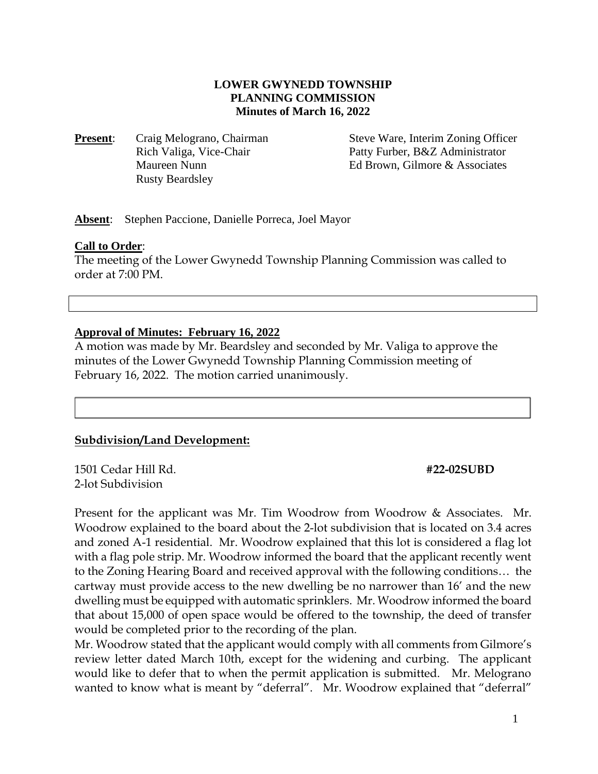# **LOWER GWYNEDD TOWNSHIP PLANNING COMMISSION Minutes of March 16, 2022**

**Present:** Craig Melograno, Chairman Rich Valiga, Vice-Chair Maureen Nunn Rusty Beardsley

 Steve Ware, Interim Zoning Officer Patty Furber, B&Z Administrator Ed Brown, Gilmore & Associates

**Absent**: Stephen Paccione, Danielle Porreca, Joel Mayor

#### **Call to Order**:

The meeting of the Lower Gwynedd Township Planning Commission was called to order at 7:00 PM.

### **Approval of Minutes: February 16, 2022**

A motion was made by Mr. Beardsley and seconded by Mr. Valiga to approve the minutes of the Lower Gwynedd Township Planning Commission meeting of February 16, 2022. The motion carried unanimously.

# **Subdivision/Land Development:**

1501 Cedar Hill Rd. **#22-02SUBD** 2-lot Subdivision

Present for the applicant was Mr. Tim Woodrow from Woodrow & Associates. Mr. Woodrow explained to the board about the 2-lot subdivision that is located on 3.4 acres and zoned A-1 residential. Mr. Woodrow explained that this lot is considered a flag lot with a flag pole strip. Mr. Woodrow informed the board that the applicant recently went to the Zoning Hearing Board and received approval with the following conditions… the cartway must provide access to the new dwelling be no narrower than 16' and the new dwelling must be equipped with automatic sprinklers. Mr. Woodrow informed the board that about 15,000 of open space would be offered to the township, the deed of transfer would be completed prior to the recording of the plan.

Mr. Woodrow stated that the applicant would comply with all comments from Gilmore's review letter dated March 10th, except for the widening and curbing. The applicant would like to defer that to when the permit application is submitted. Mr. Melograno wanted to know what is meant by "deferral". Mr. Woodrow explained that "deferral"